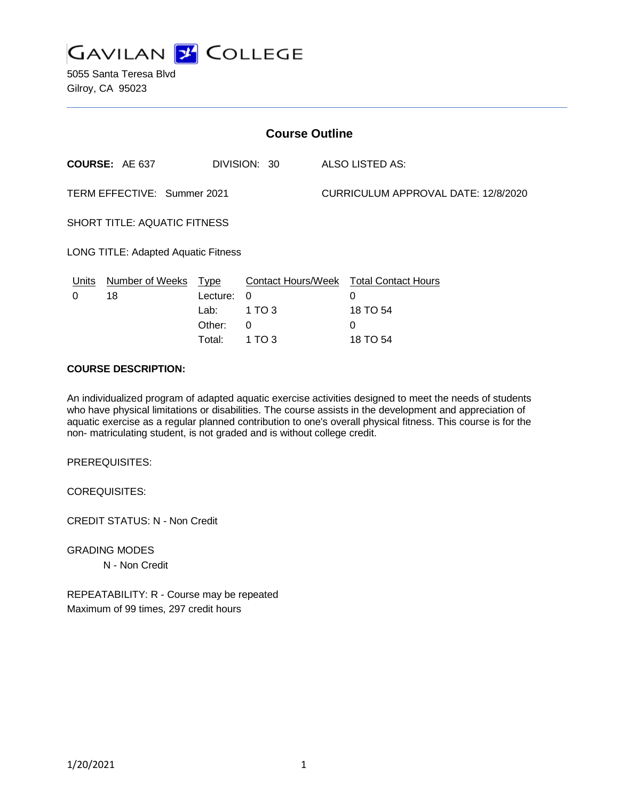

5055 Santa Teresa Blvd Gilroy, CA 95023

| <b>Course Outline</b>                 |                            |          |                 |                                     |                                                           |
|---------------------------------------|----------------------------|----------|-----------------|-------------------------------------|-----------------------------------------------------------|
| <b>COURSE: AE 637</b><br>DIVISION: 30 |                            |          | ALSO LISTED AS: |                                     |                                                           |
| TERM EFFECTIVE: Summer 2021           |                            |          |                 | CURRICULUM APPROVAL DATE: 12/8/2020 |                                                           |
| SHORT TITLE: AQUATIC FITNESS          |                            |          |                 |                                     |                                                           |
| LONG TITLE: Adapted Aquatic Fitness   |                            |          |                 |                                     |                                                           |
| Units<br>0                            | Number of Weeks Type<br>18 | Lecture: | 0               |                                     | <b>Contact Hours/Week Total Contact Hours</b><br>$\Omega$ |
|                                       |                            | Lab:     | 1 TO 3          |                                     | 18 TO 54                                                  |
|                                       |                            | Other:   | $\Omega$        |                                     | $\Omega$                                                  |
|                                       |                            | Total:   | 1 TO 3          |                                     | 18 TO 54                                                  |

#### **COURSE DESCRIPTION:**

An individualized program of adapted aquatic exercise activities designed to meet the needs of students who have physical limitations or disabilities. The course assists in the development and appreciation of aquatic exercise as a regular planned contribution to one's overall physical fitness. This course is for the non- matriculating student, is not graded and is without college credit.

PREREQUISITES:

COREQUISITES:

CREDIT STATUS: N - Non Credit

GRADING MODES N - Non Credit

REPEATABILITY: R - Course may be repeated Maximum of 99 times, 297 credit hours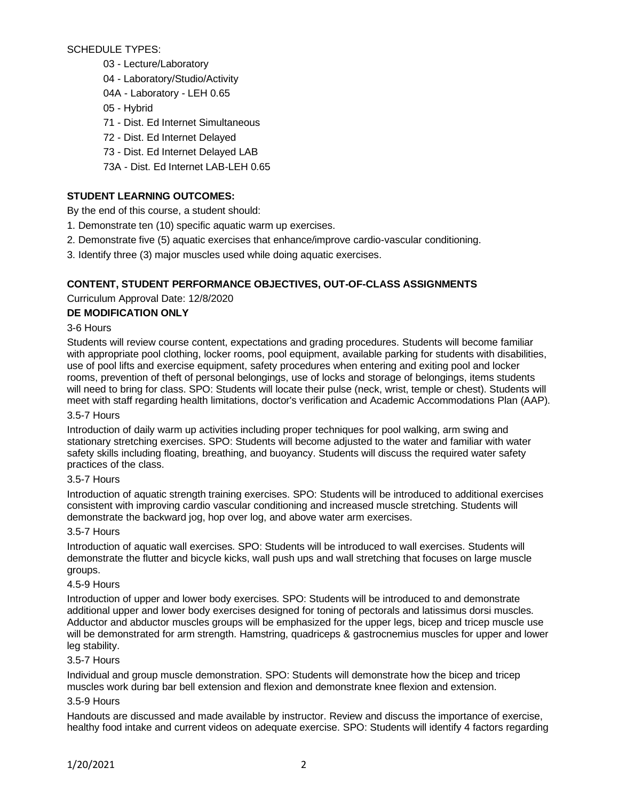## SCHEDULE TYPES:

- 03 Lecture/Laboratory
- 04 Laboratory/Studio/Activity
- 04A Laboratory LEH 0.65
- 05 Hybrid
- 71 Dist. Ed Internet Simultaneous
- 72 Dist. Ed Internet Delayed
- 73 Dist. Ed Internet Delayed LAB
- 73A Dist. Ed Internet LAB-LEH 0.65

# **STUDENT LEARNING OUTCOMES:**

By the end of this course, a student should:

- 1. Demonstrate ten (10) specific aquatic warm up exercises.
- 2. Demonstrate five (5) aquatic exercises that enhance/improve cardio-vascular conditioning.
- 3. Identify three (3) major muscles used while doing aquatic exercises.

# **CONTENT, STUDENT PERFORMANCE OBJECTIVES, OUT-OF-CLASS ASSIGNMENTS**

# Curriculum Approval Date: 12/8/2020

### **DE MODIFICATION ONLY**

# 3-6 Hours

Students will review course content, expectations and grading procedures. Students will become familiar with appropriate pool clothing, locker rooms, pool equipment, available parking for students with disabilities, use of pool lifts and exercise equipment, safety procedures when entering and exiting pool and locker rooms, prevention of theft of personal belongings, use of locks and storage of belongings, items students will need to bring for class. SPO: Students will locate their pulse (neck, wrist, temple or chest). Students will meet with staff regarding health limitations, doctor's verification and Academic Accommodations Plan (AAP).

### 3.5-7 Hours

Introduction of daily warm up activities including proper techniques for pool walking, arm swing and stationary stretching exercises. SPO: Students will become adjusted to the water and familiar with water safety skills including floating, breathing, and buoyancy. Students will discuss the required water safety practices of the class.

### 3.5-7 Hours

Introduction of aquatic strength training exercises. SPO: Students will be introduced to additional exercises consistent with improving cardio vascular conditioning and increased muscle stretching. Students will demonstrate the backward jog, hop over log, and above water arm exercises.

### 3.5-7 Hours

Introduction of aquatic wall exercises. SPO: Students will be introduced to wall exercises. Students will demonstrate the flutter and bicycle kicks, wall push ups and wall stretching that focuses on large muscle groups.

### 4.5-9 Hours

Introduction of upper and lower body exercises. SPO: Students will be introduced to and demonstrate additional upper and lower body exercises designed for toning of pectorals and latissimus dorsi muscles. Adductor and abductor muscles groups will be emphasized for the upper legs, bicep and tricep muscle use will be demonstrated for arm strength. Hamstring, quadriceps & gastrocnemius muscles for upper and lower leg stability.

## 3.5-7 Hours

Individual and group muscle demonstration. SPO: Students will demonstrate how the bicep and tricep muscles work during bar bell extension and flexion and demonstrate knee flexion and extension.

### 3.5-9 Hours

Handouts are discussed and made available by instructor. Review and discuss the importance of exercise, healthy food intake and current videos on adequate exercise. SPO: Students will identify 4 factors regarding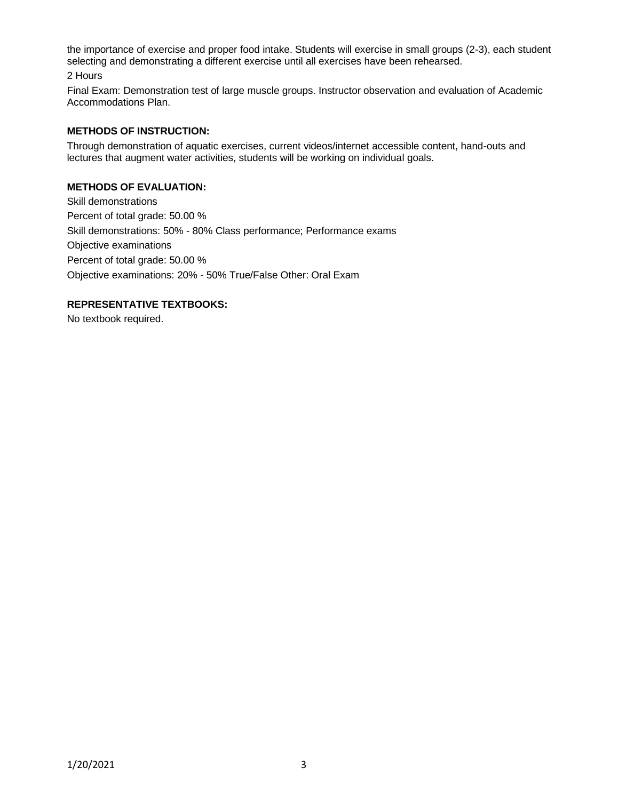the importance of exercise and proper food intake. Students will exercise in small groups (2-3), each student selecting and demonstrating a different exercise until all exercises have been rehearsed.

2 Hours

Final Exam: Demonstration test of large muscle groups. Instructor observation and evaluation of Academic Accommodations Plan.

#### **METHODS OF INSTRUCTION:**

Through demonstration of aquatic exercises, current videos/internet accessible content, hand-outs and lectures that augment water activities, students will be working on individual goals.

#### **METHODS OF EVALUATION:**

Skill demonstrations Percent of total grade: 50.00 % Skill demonstrations: 50% - 80% Class performance; Performance exams Objective examinations Percent of total grade: 50.00 % Objective examinations: 20% - 50% True/False Other: Oral Exam

#### **REPRESENTATIVE TEXTBOOKS:**

No textbook required.